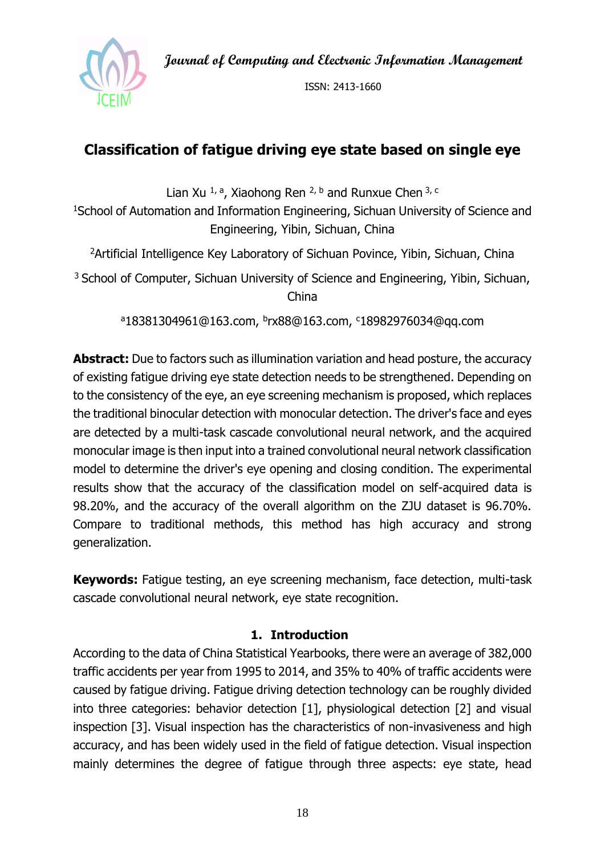**Journal of Computing and Electronic Information Management**



ISSN: 2413-1660

# **Classification of fatigue driving eye state based on single eye**

Lian Xu <sup>1, a</sup>, Xiaohong Ren <sup>2, b</sup> and Runxue Chen <sup>3, c</sup>

<sup>1</sup>School of Automation and Information Engineering, Sichuan University of Science and Engineering, Yibin, Sichuan, China

<sup>2</sup> Artificial Intelligence Key Laboratory of Sichuan Povince, Yibin, Sichuan, China

<sup>3</sup> School of Computer, Sichuan University of Science and Engineering, Yibin, Sichuan, China

<sup>a</sup>18381304961@163.com, <sup>b</sup>rx88@163.com, <sup>c</sup>18982976034@qq.com

**Abstract:** Due to factors such as illumination variation and head posture, the accuracy of existing fatigue driving eye state detection needs to be strengthened. Depending on to the consistency of the eye, an eye screening mechanism is proposed, which replaces the traditional binocular detection with monocular detection. The driver's face and eyes are detected by a multi-task cascade convolutional neural network, and the acquired monocular image is then input into a trained convolutional neural network classification model to determine the driver's eye opening and closing condition. The experimental results show that the accuracy of the classification model on self-acquired data is 98.20%, and the accuracy of the overall algorithm on the ZJU dataset is 96.70%. Compare to traditional methods, this method has high accuracy and strong generalization.

**Keywords:** Fatigue testing, an eye screening mechanism, face detection, multi-task cascade convolutional neural network, eye state recognition.

### **1. Introduction**

According to the data of China Statistical Yearbooks, there were an average of 382,000 traffic accidents per year from 1995 to 2014, and 35% to 40% of traffic accidents were caused by fatigue driving. Fatigue driving detection technology can be roughly divided into three categories: behavior detection [1], physiological detection [2] and visual inspection [3]. Visual inspection has the characteristics of non-invasiveness and high accuracy, and has been widely used in the field of fatigue detection. Visual inspection mainly determines the degree of fatigue through three aspects: eye state, head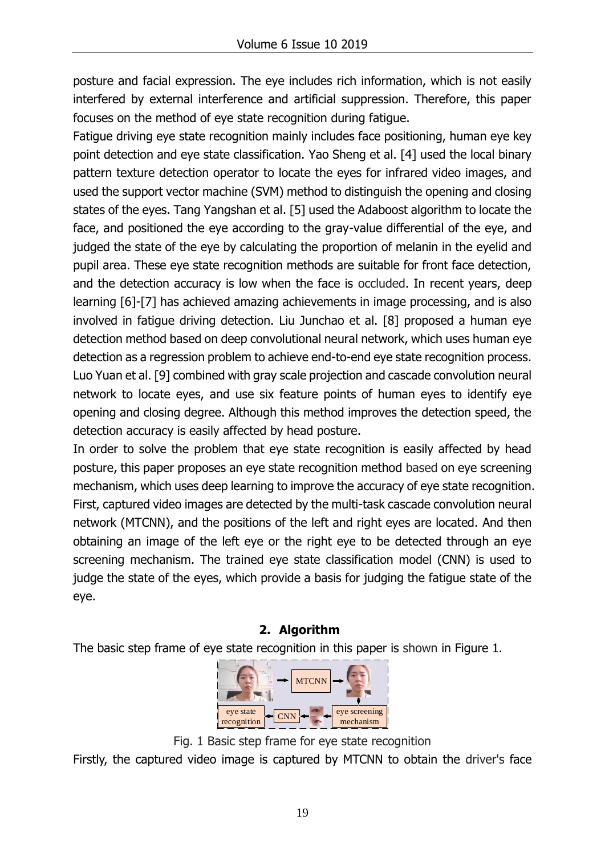posture and facial expression. The eye includes rich information, which is not easily interfered by external interference and artificial suppression. Therefore, this paper focuses on the method of eye state recognition during fatigue.

Fatigue driving eye state recognition mainly includes face positioning, human eye key point detection and eye state classification. Yao Sheng et al. [4] used the local binary pattern texture detection operator to locate the eyes for infrared video images, and used the support vector machine (SVM) method to distinguish the opening and closing states of the eyes. Tang Yangshan et al. [5] used the Adaboost algorithm to locate the face, and positioned the eye according to the gray-value differential of the eye, and judged the state of the eye by calculating the proportion of melanin in the eyelid and pupil area. These eye state recognition methods are suitable for front face detection, and the detection accuracy is low when the face is occluded. In recent years, deep learning [6]-[7] has achieved amazing achievements in image processing, and is also involved in fatigue driving detection. Liu Junchao et al. [8] proposed a human eye detection method based on deep convolutional neural network, which uses human eye detection as a regression problem to achieve end-to-end eye state recognition process. Luo Yuan et al. [9] combined with gray scale projection and cascade convolution neural network to locate eyes, and use six feature points of human eyes to identify eye opening and closing degree. Although this method improves the detection speed, the detection accuracy is easily affected by head posture.

In order to solve the problem that eye state recognition is easily affected by head posture, this paper proposes an eye state recognition method based on eye screening mechanism, which uses deep learning to improve the accuracy of eye state recognition. First, captured video images are detected by the multi-task cascade convolution neural network (MTCNN), and the positions of the left and right eyes are located. And then obtaining an image of the left eye or the right eye to be detected through an eye screening mechanism. The trained eye state classification model (CNN) is used to judge the state of the eyes, which provide a basis for judging the fatigue state of the eye.

## **2. Algorithm**

The basic step frame of eye state recognition in this paper is shown in Figure 1.



Fig. 1 Basic step frame for eye state recognition

Firstly, the captured video image is captured by MTCNN to obtain the driver's face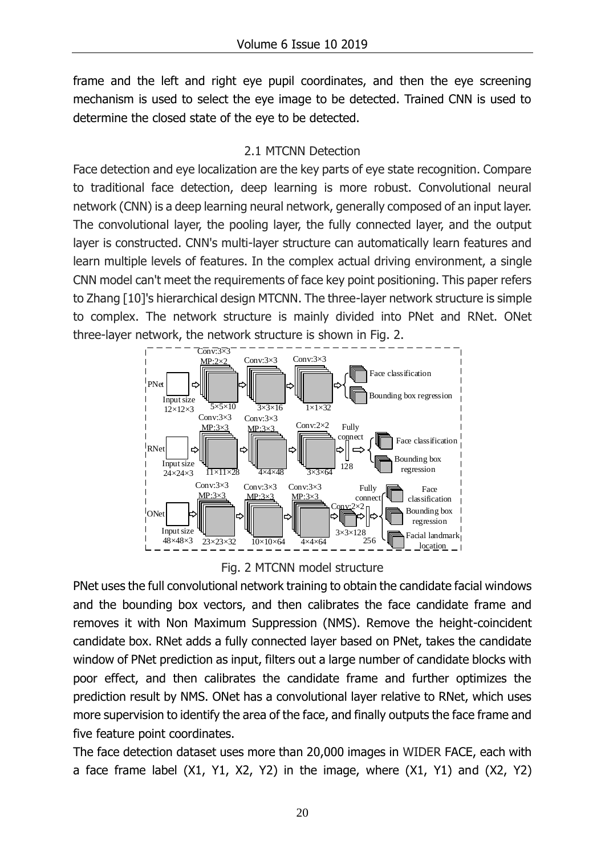frame and the left and right eye pupil coordinates, and then the eye screening mechanism is used to select the eye image to be detected. Trained CNN is used to determine the closed state of the eye to be detected.

## 2.1 MTCNN Detection

Face detection and eye localization are the key parts of eye state recognition. Compare to traditional face detection, deep learning is more robust. Convolutional neural network (CNN) is a deep learning neural network, generally composed of an input layer. The convolutional layer, the pooling layer, the fully connected layer, and the output layer is constructed. CNN's multi-layer structure can automatically learn features and learn multiple levels of features. In the complex actual driving environment, a single CNN model can't meet the requirements of face key point positioning. This paper refers to Zhang [10]'s hierarchical design MTCNN. The three-layer network structure is simple to complex. The network structure is mainly divided into PNet and RNet. ONet three-layer network, the network structure is shown in Fig. 2.





PNet uses the full convolutional network training to obtain the candidate facial windows and the bounding box vectors, and then calibrates the face candidate frame and removes it with Non Maximum Suppression (NMS). Remove the height-coincident candidate box. RNet adds a fully connected layer based on PNet, takes the candidate window of PNet prediction as input, filters out a large number of candidate blocks with poor effect, and then calibrates the candidate frame and further optimizes the prediction result by NMS. ONet has a convolutional layer relative to RNet, which uses more supervision to identify the area of the face, and finally outputs the face frame and five feature point coordinates.

The face detection dataset uses more than 20,000 images in WIDER FACE, each with a face frame label (X1, Y1, X2, Y2) in the image, where (X1, Y1) and (X2, Y2)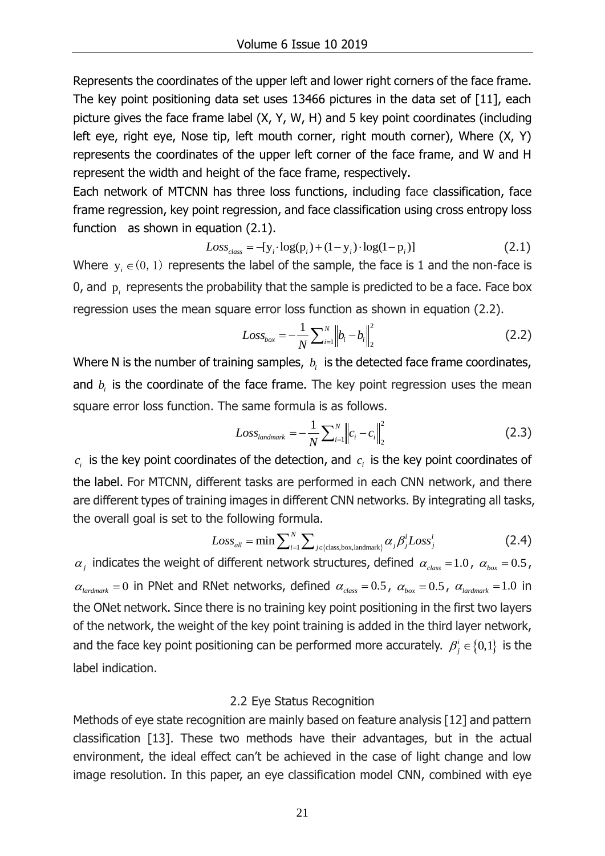Represents the coordinates of the upper left and lower right corners of the face frame. The key point positioning data set uses 13466 pictures in the data set of [11], each picture gives the face frame label (X, Y, W, H) and 5 key point coordinates (including left eye, right eye, Nose tip, left mouth corner, right mouth corner), Where (X, Y) represents the coordinates of the upper left corner of the face frame, and W and H represent the width and height of the face frame, respectively.

Each network of MTCNN has three loss functions, including face classification, face frame regression, key point regression, and face classification using cross entropy loss function as shown in equation (2.1).<br>  $Loss_{class} = -[y_i \cdot log(p_i) + (1 - y_i) \cdot log(1 - p_i)]$  (2.1)

$$
Loss_{class} = -[y_i \cdot \log(p_i) + (1 - y_i) \cdot \log(1 - p_i)]
$$
\n(2.1)

Where  $y_i \in (0, 1)$  represents the label of the sample, the face is 1 and the non-face is 0, and  $\mathbf{p}_i$  represents the probability that the sample is predicted to be a face. Face box regression uses the mean square error loss function as shown in equation (2.2).

$$
Loss_{box} = -\frac{1}{N} \sum_{i=1}^{N} \left\| b_i - b_i \right\|_{2}^{2}
$$
 (2.2)

Where N is the number of training samples,  $b_i$  is the detected face frame coordinates, and  $b_i$  is the coordinate of the face frame. The key point regression uses the mean square error loss function. The same formula is as follows.

$$
Loss_{\text{landmark}} = -\frac{1}{N} \sum_{i=1}^{N} ||c_i - c_i||_2^2
$$
 (2.3)

 $c_i$  is the key point coordinates of the detection, and  $c_i$  is the key point coordinates of the label. For MTCNN, different tasks are performed in each CNN network, and there are different types of training images in different CNN networks. By integrating all tasks,<br>the overall goal is set to the following formula.<br> $Loss_{all} = \min \sum_{i=1}^{N} \sum_{j \in \{class, box, landmark\}} \alpha_j \beta_j^i Loss_j^i$  (2.4)

the overall goal is set to the following formula.  
\n
$$
Loss_{all} = \min \sum_{i=1}^{N} \sum_{j \in \{class, box, landmark\}} \alpha_j \beta_j^i Loss_j^i
$$
\n(2.4)

 $\alpha_j$  indicates the weight of different network structures, defined  $\alpha_{class} = 1.0$ ,  $\alpha_{box} = 0.5$ ,  $\alpha_{\text{lardmark}} = 0$  in PNet and RNet networks, defined  $\alpha_{\text{class}} = 0.5$ ,  $\alpha_{\text{box}} = 0.5$ ,  $\alpha_{\text{lardmark}} = 1.0$  in the ONet network. Since there is no training key point positioning in the first two layers of the network, the weight of the key point training is added in the third layer network, and the face key point positioning can be performed more accurately.  $\beta^i_j \in \{0,1\}$  is the label indication.

#### 2.2 Eye Status Recognition

Methods of eye state recognition are mainly based on feature analysis [12] and pattern classification [13]. These two methods have their advantages, but in the actual environment, the ideal effect can't be achieved in the case of light change and low image resolution. In this paper, an eye classification model CNN, combined with eye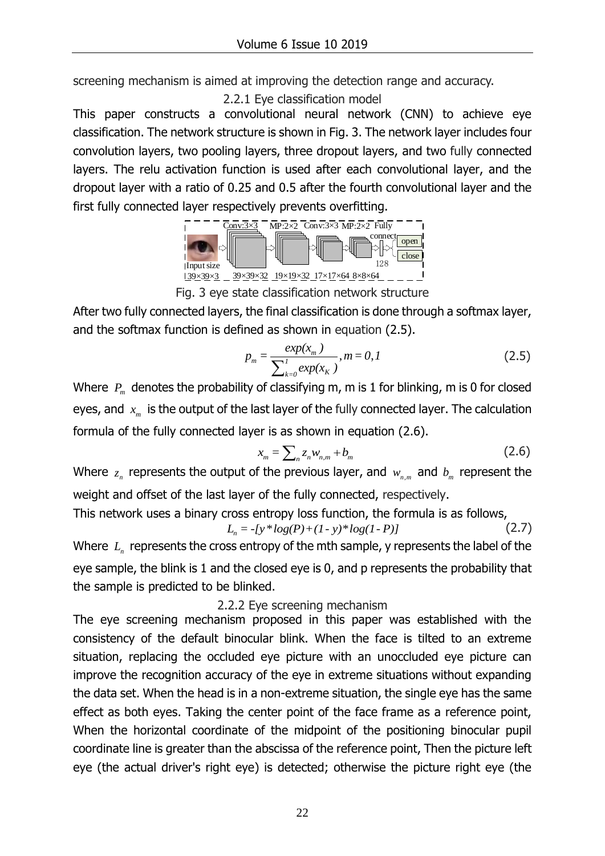screening mechanism is aimed at improving the detection range and accuracy.

2.2.1 Eye classification model

This paper constructs a convolutional neural network (CNN) to achieve eye classification. The network structure is shown in Fig. 3. The network layer includes four convolution layers, two pooling layers, three dropout layers, and two fully connected layers. The relu activation function is used after each convolutional layer, and the dropout layer with a ratio of 0.25 and 0.5 after the fourth convolutional layer and the first fully connected layer respectively prevents overfitting.



Fig. 3 eye state classification network structure

After two fully connected layers, the final classification is done through a softmax layer, and the softmax function is defined as shown in equation (2.5).

$$
p_m = \frac{exp(x_m)}{\sum_{k=0}^{I} exp(x_k)}, m = 0, I
$$
 (2.5)

Where  $\ P_{\scriptscriptstyle m} \,$  denotes the probability of classifying m, m is 1 for blinking, m is 0 for closed eyes, and  $\ x_{_m}$  is the output of the last layer of the fully connected layer. The calculation formula of the fully connected layer is as shown in equation (2.6).

$$
x_{m} = \sum_{n} z_{n} w_{n,m} + b_{m}
$$
 (2.6)

Where  $z_n$  represents the output of the previous layer, and  $w_{n,m}$  and  $b_m$  represent the weight and offset of the last layer of the fully connected, respectively.

This network uses a binary cross entropy loss function, the formula is as follows,<br> $L_n = -\frac{f y * log(P) + (1 - y) * log(1 - P)}{P}$  (2.7)

$$
L_n = -\{y^* \log(P) + (1 - y)^* \log(1 - P)\}\tag{2.7}
$$

Where  $\ L_{\scriptscriptstyle n}$  represents the cross entropy of the mth sample, y represents the label of the eye sample, the blink is 1 and the closed eye is 0, and p represents the probability that the sample is predicted to be blinked.

### 2.2.2 Eye screening mechanism

The eye screening mechanism proposed in this paper was established with the consistency of the default binocular blink. When the face is tilted to an extreme situation, replacing the occluded eye picture with an unoccluded eye picture can improve the recognition accuracy of the eye in extreme situations without expanding the data set. When the head is in a non-extreme situation, the single eye has the same effect as both eyes. Taking the center point of the face frame as a reference point, When the horizontal coordinate of the midpoint of the positioning binocular pupil coordinate line is greater than the abscissa of the reference point, Then the picture left eye (the actual driver's right eye) is detected; otherwise the picture right eye (the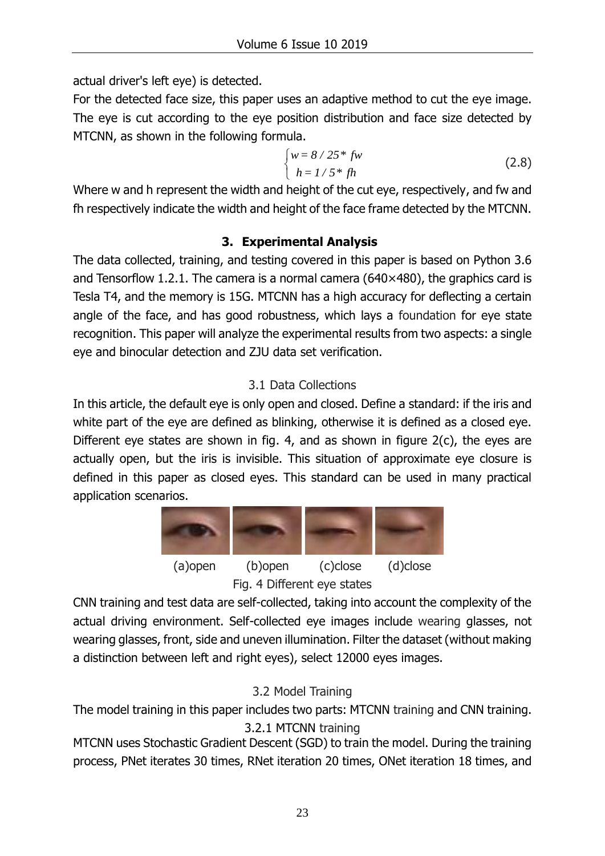actual driver's left eye) is detected.

For the detected face size, this paper uses an adaptive method to cut the eye image. The eye is cut according to the eye position distribution and face size detected by MTCNN, as shown in the following formula.

$$
\begin{cases} w = 8/25 * fw \\ h = 1/5 * fh \end{cases}
$$
 (2.8)

Where w and h represent the width and height of the cut eye, respectively, and fw and fh respectively indicate the width and height of the face frame detected by the MTCNN.

# **3. Experimental Analysis**

The data collected, training, and testing covered in this paper is based on Python 3.6 and Tensorflow 1.2.1. The camera is a normal camera ( $640\times480$ ), the graphics card is Tesla T4, and the memory is 15G. MTCNN has a high accuracy for deflecting a certain angle of the face, and has good robustness, which lays a foundation for eye state recognition. This paper will analyze the experimental results from two aspects: a single eye and binocular detection and ZJU data set verification.

# 3.1 Data Collections

In this article, the default eye is only open and closed. Define a standard: if the iris and white part of the eye are defined as blinking, otherwise it is defined as a closed eye. Different eye states are shown in fig. 4, and as shown in figure 2(c), the eyes are actually open, but the iris is invisible. This situation of approximate eye closure is defined in this paper as closed eyes. This standard can be used in many practical application scenarios.



Fig. 4 Different eye states

CNN training and test data are self-collected, taking into account the complexity of the actual driving environment. Self-collected eye images include wearing glasses, not wearing glasses, front, side and uneven illumination. Filter the dataset (without making a distinction between left and right eyes), select 12000 eyes images.

# 3.2 Model Training

The model training in this paper includes two parts: MTCNN training and CNN training. 3.2.1 MTCNN training

MTCNN uses Stochastic Gradient Descent (SGD) to train the model. During the training process, PNet iterates 30 times, RNet iteration 20 times, ONet iteration 18 times, and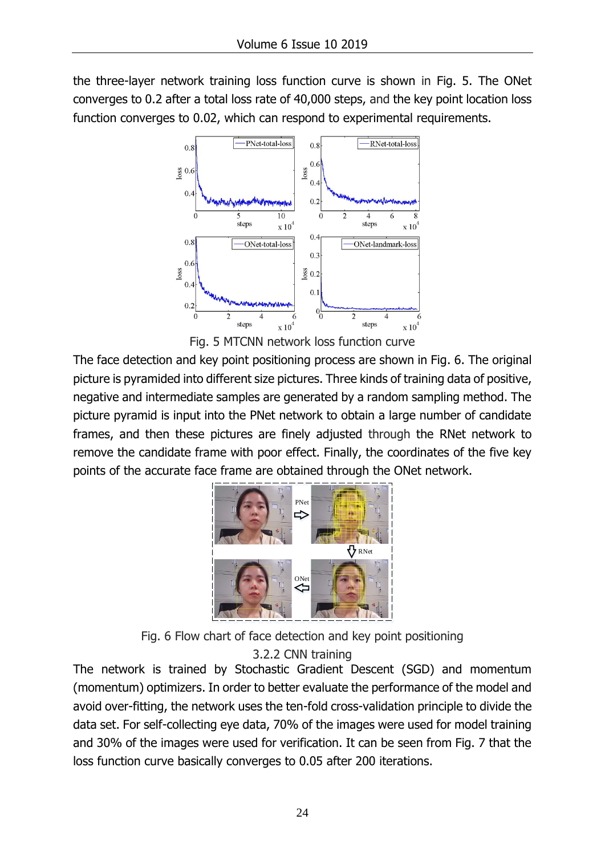the three-layer network training loss function curve is shown in Fig. 5. The ONet converges to 0.2 after a total loss rate of 40,000 steps, and the key point location loss function converges to 0.02, which can respond to experimental requirements.



Fig. 5 MTCNN network loss function curve

The face detection and key point positioning process are shown in Fig. 6. The original picture is pyramided into different size pictures. Three kinds of training data of positive, negative and intermediate samples are generated by a random sampling method. The picture pyramid is input into the PNet network to obtain a large number of candidate frames, and then these pictures are finely adjusted through the RNet network to remove the candidate frame with poor effect. Finally, the coordinates of the five key points of the accurate face frame are obtained through the ONet network.



Fig. 6 Flow chart of face detection and key point positioning

3.2.2 CNN training

The network is trained by Stochastic Gradient Descent (SGD) and momentum (momentum) optimizers. In order to better evaluate the performance of the model and avoid over-fitting, the network uses the ten-fold cross-validation principle to divide the data set. For self-collecting eye data, 70% of the images were used for model training and 30% of the images were used for verification. It can be seen from Fig. 7 that the loss function curve basically converges to 0.05 after 200 iterations.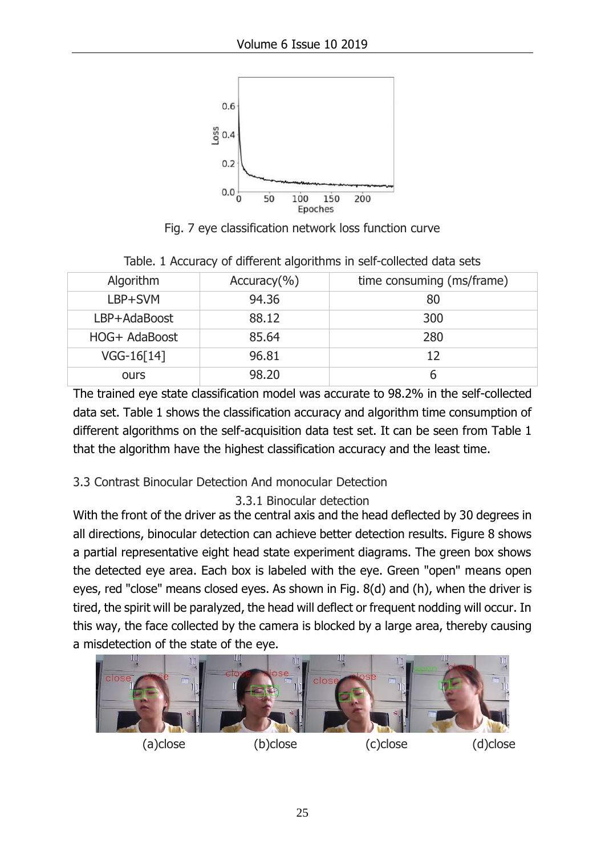

Fig. 7 eye classification network loss function curve

| Algorithm     | $Accuracy$ <sup>(%)</sup> | time consuming (ms/frame) |
|---------------|---------------------------|---------------------------|
| LBP+SVM       | 94.36                     | 80                        |
| LBP+AdaBoost  | 88.12                     | 300                       |
| HOG+ AdaBoost | 85.64                     | 280                       |
| VGG-16[14]    | 96.81                     | 12                        |
| ours          | 98.20                     | ჩ                         |

Table. 1 Accuracy of different algorithms in self-collected data sets

The trained eye state classification model was accurate to 98.2% in the self-collected data set. Table 1 shows the classification accuracy and algorithm time consumption of different algorithms on the self-acquisition data test set. It can be seen from Table 1 that the algorithm have the highest classification accuracy and the least time.

## 3.3 Contrast Binocular Detection And monocular Detection

3.3.1 Binocular detection

With the front of the driver as the central axis and the head deflected by 30 degrees in all directions, binocular detection can achieve better detection results. Figure 8 shows a partial representative eight head state experiment diagrams. The green box shows the detected eye area. Each box is labeled with the eye. Green "open" means open eyes, red "close" means closed eyes. As shown in Fig. 8(d) and (h), when the driver is tired, the spirit will be paralyzed, the head will deflect or frequent nodding will occur. In this way, the face collected by the camera is blocked by a large area, thereby causing a misdetection of the state of the eye.

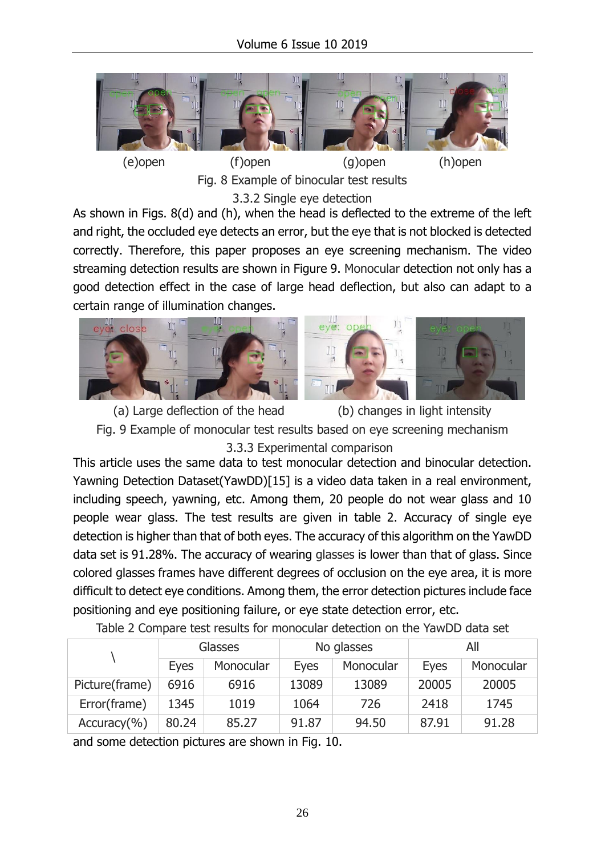

Fig. 8 Example of binocular test results 3.3.2 Single eye detection

As shown in Figs. 8(d) and (h), when the head is deflected to the extreme of the left and right, the occluded eye detects an error, but the eye that is not blocked is detected correctly. Therefore, this paper proposes an eye screening mechanism. The video streaming detection results are shown in Figure 9. Monocular detection not only has a good detection effect in the case of large head deflection, but also can adapt to a certain range of illumination changes.





(a) Large deflection of the head (b) changes in light intensity Fig. 9 Example of monocular test results based on eye screening mechanism 3.3.3 Experimental comparison

This article uses the same data to test monocular detection and binocular detection. Yawning Detection Dataset(YawDD)[15] is a video data taken in a real environment, including speech, yawning, etc. Among them, 20 people do not wear glass and 10 people wear glass. The test results are given in table 2. Accuracy of single eye detection is higher than that of both eyes. The accuracy of this algorithm on the YawDD data set is 91.28%. The accuracy of wearing glasses is lower than that of glass. Since colored glasses frames have different degrees of occlusion on the eye area, it is more difficult to detect eye conditions. Among them, the error detection pictures include face positioning and eye positioning failure, or eye state detection error, etc.

|                           | <b>Glasses</b> |           | No glasses  |           | All         |           |
|---------------------------|----------------|-----------|-------------|-----------|-------------|-----------|
|                           | <b>Eyes</b>    | Monocular | <b>Eyes</b> | Monocular | <b>Eyes</b> | Monocular |
| Picture(frame)            | 6916           | 6916      | 13089       | 13089     | 20005       | 20005     |
| Error(frame)              | 1345           | 1019      | 1064        | 726       | 2418        | 1745      |
| $Accuracy$ <sup>(%)</sup> | 80.24          | 85.27     | 91.87       | 94.50     | 87.91       | 91.28     |

Table 2 Compare test results for monocular detection on the YawDD data set

and some detection pictures are shown in Fig. 10.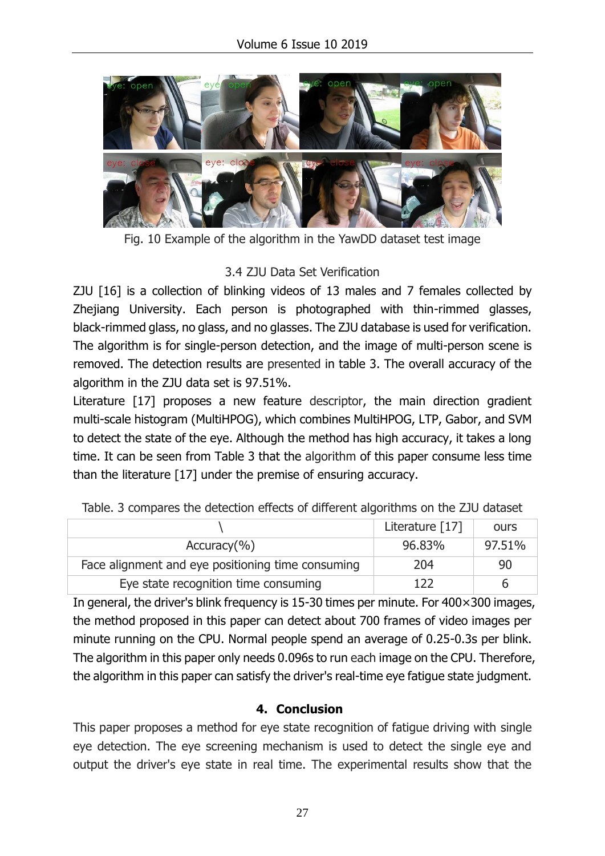

Fig. 10 Example of the algorithm in the YawDD dataset test image

## 3.4 ZJU Data Set Verification

ZJU [16] is a collection of blinking videos of 13 males and 7 females collected by Zhejiang University. Each person is photographed with thin-rimmed glasses, black-rimmed glass, no glass, and no glasses. The ZJU database is used for verification. The algorithm is for single-person detection, and the image of multi-person scene is removed. The detection results are presented in table 3. The overall accuracy of the algorithm in the ZJU data set is 97.51%.

Literature [17] proposes a new feature descriptor, the main direction gradient multi-scale histogram (MultiHPOG), which combines MultiHPOG, LTP, Gabor, and SVM to detect the state of the eye. Although the method has high accuracy, it takes a long time. It can be seen from Table 3 that the algorithm of this paper consume less time than the literature [17] under the premise of ensuring accuracy.

|                                                   | Literature [17] | ours   |
|---------------------------------------------------|-----------------|--------|
| Accuracy( %)                                      | 96.83%          | 97.51% |
| Face alignment and eye positioning time consuming | 204             | 90     |
| Eye state recognition time consuming              |                 | h      |

Table. 3 compares the detection effects of different algorithms on the ZJU dataset

In general, the driver's blink frequency is 15-30 times per minute. For 400×300 images, the method proposed in this paper can detect about 700 frames of video images per minute running on the CPU. Normal people spend an average of 0.25-0.3s per blink. The algorithm in this paper only needs 0.096s to run each image on the CPU. Therefore, the algorithm in this paper can satisfy the driver's real-time eye fatigue state judgment.

## **4. Conclusion**

This paper proposes a method for eye state recognition of fatigue driving with single eye detection. The eye screening mechanism is used to detect the single eye and output the driver's eye state in real time. The experimental results show that the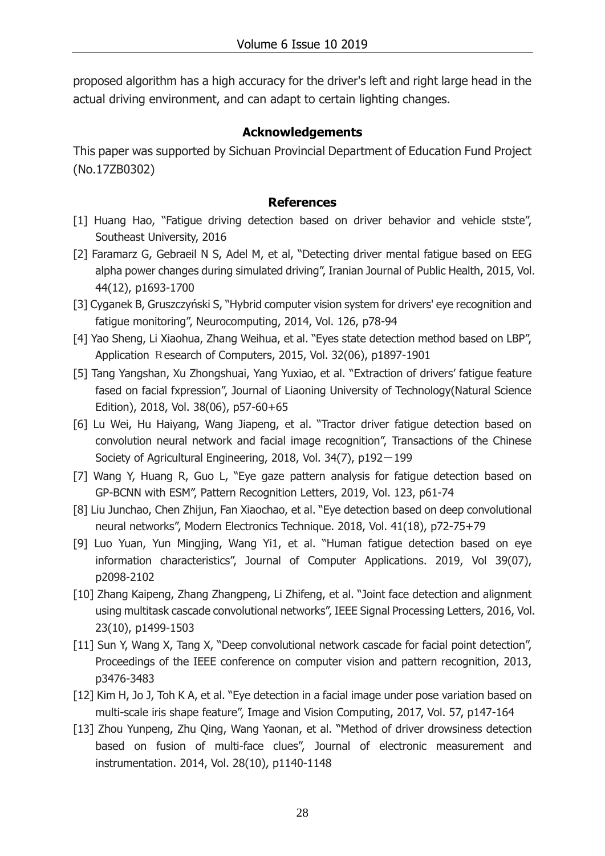proposed algorithm has a high accuracy for the driver's left and right large head in the actual driving environment, and can adapt to certain lighting changes.

#### **Acknowledgements**

This paper was supported by Sichuan Provincial Department of Education Fund Project (No.17ZB0302)

#### **References**

- [1] Huang Hao, "Fatigue driving detection based on driver behavior and vehicle stste", Southeast University, 2016
- [2] Faramarz G, Gebraeil N S, Adel M, et al, "Detecting driver mental fatigue based on EEG alpha power changes during simulated driving", Iranian Journal of Public Health, 2015, Vol. 44(12), p1693-1700
- [3] Cyganek B, Gruszczyński S, "Hybrid computer vision system for drivers' eye recognition and fatigue monitoring", Neurocomputing, 2014, Vol. 126, p78-94
- [4] Yao Sheng, Li Xiaohua, Zhang Weihua, et al. "Eyes state detection method based on LBP", Application Research of Computers, 2015, Vol. 32(06), p1897-1901
- [5] Tang Yangshan, Xu Zhongshuai, Yang Yuxiao, et al. "Extraction of drivers' fatigue feature fased on facial fxpression", Journal of Liaoning University of Technology(Natural Science Edition), 2018, Vol. 38(06), p57-60+65
- [6] Lu Wei, Hu Haiyang, Wang Jiapeng, et al. "Tractor driver fatigue detection based on convolution neural network and facial image recognition", Transactions of the Chinese Society of Agricultural Engineering, 2018, Vol. 34(7),  $p192-199$
- [7] Wang Y, Huang R, Guo L, "Eye gaze pattern analysis for fatigue detection based on GP-BCNN with ESM", Pattern Recognition Letters, 2019, Vol. 123, p61-74
- [8] Liu Junchao, Chen Zhijun, Fan Xiaochao, et al. "Eye detection based on deep convolutional neural networks", Modern Electronics Technique. 2018, Vol. 41(18), p72-75+79
- [9] Luo Yuan, Yun Mingjing, Wang Yi1, et al. "Human fatigue detection based on eye information characteristics", Journal of Computer Applications. 2019, Vol 39(07), p2098-2102
- [10] Zhang Kaipeng, Zhang Zhangpeng, Li Zhifeng, et al. "Joint face detection and alignment using multitask cascade convolutional networks", IEEE Signal Processing Letters, 2016, Vol. 23(10), p1499-1503
- [11] Sun Y, Wang X, Tang X, "Deep convolutional network cascade for facial point detection", Proceedings of the IEEE conference on computer vision and pattern recognition, 2013, p3476-3483
- [12] Kim H, Jo J, Toh K A, et al. "Eye detection in a facial image under pose variation based on multi-scale iris shape feature", Image and Vision Computing, 2017, Vol. 57, p147-164
- [13] Zhou Yunpeng, Zhu Qing, Wang Yaonan, et al. "Method of driver drowsiness detection based on fusion of multi-face clues", Journal of electronic measurement and instrumentation. 2014, Vol. 28(10), p1140-1148